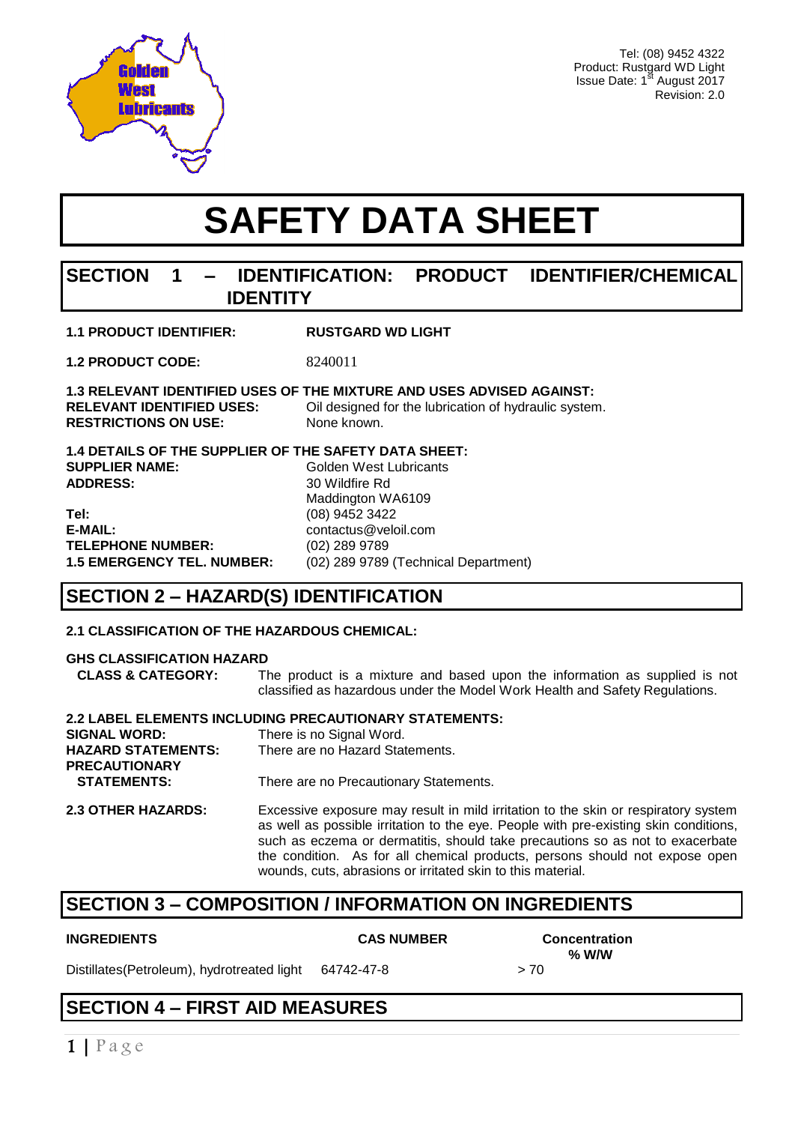

Tel: (08) 9452 4322 Product: Rustgard WD Light Issue Date: 1st August 2017 Revision: 2.0

# **SAFETY DATA SHEET**

### **SECTION 1 – IDENTIFICATION: PRODUCT IDENTIFIER/CHEMICAL IDENTITY**

| <b>1.1 PRODUCT IDENTIFIER:</b> | <b>RUSTGARD WD LIGHT</b> |
|--------------------------------|--------------------------|
|                                |                          |

**1.2 PRODUCT CODE:** 8240011

**1.3 RELEVANT IDENTIFIED USES OF THE MIXTURE AND USES ADVISED AGAINST: Cil designed for the lubrication of hydraulic system. RESTRICTIONS ON USE:** None known.

**1.4 DETAILS OF THE SUPPLIER OF THE SAFETY DATA SHEET: SUPPLIER NAME:** Golden West Lubricants ADDRESS: 30 Wildfire Rd Maddington WA6109 **Tel:** (08) 9452 3422 **E-MAIL:** contactus@veloil.com **TELEPHONE NUMBER:** (02) 289 9789 **1.5 EMERGENCY TEL. NUMBER:** (02) 289 9789 (Technical Department)

### **SECTION 2 – HAZARD(S) IDENTIFICATION**

#### **2.1 CLASSIFICATION OF THE HAZARDOUS CHEMICAL:**

#### **GHS CLASSIFICATION HAZARD**

 **CLASS & CATEGORY:** The product is a mixture and based upon the information as supplied is not classified as hazardous under the Model Work Health and Safety Regulations.

| 2.2 LABEL ELEMENTS INCLUDING PRECAUTIONARY STATEMENTS: |                                              |  |  |
|--------------------------------------------------------|----------------------------------------------|--|--|
| <b>SIGNAL WORD:</b>                                    | There is no Signal Word.                     |  |  |
| <b>HAZARD STATEMENTS:</b>                              | There are no Hazard Statements.              |  |  |
| <b>PRECAUTIONARY</b>                                   |                                              |  |  |
| <b>STATEMENTS:</b>                                     | There are no Precautionary Statements.       |  |  |
| 220TUPD U17ADDC.                                       | Exponentia exponuse move requiring mild indi |  |  |

**2.3 OTHER HAZARDS:** Excessive exposure may result in mild irritation to the skin or respiratory system as well as possible irritation to the eye. People with pre-existing skin conditions, such as eczema or dermatitis, should take precautions so as not to exacerbate the condition. As for all chemical products, persons should not expose open wounds, cuts, abrasions or irritated skin to this material.

### **SECTION 3 – COMPOSITION / INFORMATION ON INGREDIENTS**

#### **INGREDIENTS CAS NUMBER Concentration**

Distillates(Petroleum), hydrotreated light 64742-47-8 > 70

 **% W/W** 

## **SECTION 4 – FIRST AID MEASURES**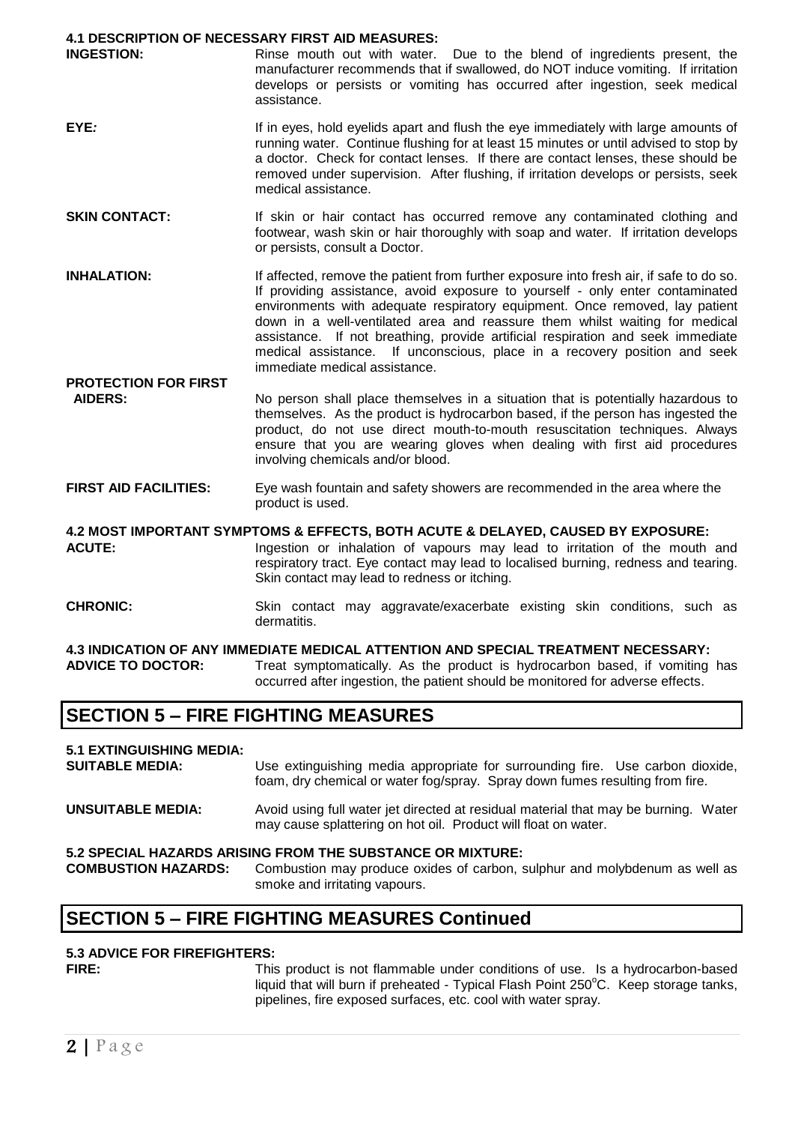#### **4.1 DESCRIPTION OF NECESSARY FIRST AID MEASURES:**

| <b>INGESTION:</b> | Rinse mouth out with water. Due to the blend of ingredients present, the         |  |  |  |  |  |
|-------------------|----------------------------------------------------------------------------------|--|--|--|--|--|
|                   | manufacturer recommends that if swallowed, do NOT induce vomiting. If irritation |  |  |  |  |  |
|                   | develops or persists or vomiting has occurred after ingestion, seek medical      |  |  |  |  |  |
|                   | assistance.                                                                      |  |  |  |  |  |

- **EYE**: **If in eyes, hold evelids apart and flush the eye immediately with large amounts of** running water. Continue flushing for at least 15 minutes or until advised to stop by a doctor. Check for contact lenses. If there are contact lenses, these should be removed under supervision. After flushing, if irritation develops or persists, seek medical assistance.
- **SKIN CONTACT:** If skin or hair contact has occurred remove any contaminated clothing and footwear, wash skin or hair thoroughly with soap and water. If irritation develops or persists, consult a Doctor.
- **INHALATION:** If affected, remove the patient from further exposure into fresh air, if safe to do so. If providing assistance, avoid exposure to yourself - only enter contaminated environments with adequate respiratory equipment. Once removed, lay patient down in a well-ventilated area and reassure them whilst waiting for medical assistance. If not breathing, provide artificial respiration and seek immediate medical assistance. If unconscious, place in a recovery position and seek immediate medical assistance.
- **PROTECTION FOR FIRST AIDERS:** No person shall place themselves in a situation that is potentially hazardous to themselves. As the product is hydrocarbon based, if the person has ingested the product, do not use direct mouth-to-mouth resuscitation techniques. Always ensure that you are wearing gloves when dealing with first aid procedures involving chemicals and/or blood.
- **FIRST AID FACILITIES:** Eye wash fountain and safety showers are recommended in the area where the product is used.

**4.2 MOST IMPORTANT SYMPTOMS & EFFECTS, BOTH ACUTE & DELAYED, CAUSED BY EXPOSURE:** ACUTE: Ingestion or inhalation of vapours may lead to irritation of the mouth and respiratory tract. Eye contact may lead to localised burning, redness and tearing. Skin contact may lead to redness or itching.

**CHRONIC:** Skin contact may aggravate/exacerbate existing skin conditions, such as dermatitis.

#### **4.3 INDICATION OF ANY IMMEDIATE MEDICAL ATTENTION AND SPECIAL TREATMENT NECESSARY:**<br>**ADVICE TO DOCTOR:** Treat symptomatically. As the product is hydrocarbon based, if vomiting Treat symptomatically. As the product is hydrocarbon based, if vomiting has occurred after ingestion, the patient should be monitored for adverse effects.

### **SECTION 5 – FIRE FIGHTING MEASURES**

#### **5.1 EXTINGUISHING MEDIA:**

**SUITABLE MEDIA:** Use extinguishing media appropriate for surrounding fire. Use carbon dioxide, foam, dry chemical or water fog/spray. Spray down fumes resulting from fire.

**UNSUITABLE MEDIA:** Avoid using full water jet directed at residual material that may be burning. Water may cause splattering on hot oil. Product will float on water.

#### **5.2 SPECIAL HAZARDS ARISING FROM THE SUBSTANCE OR MIXTURE:**

**COMBUSTION HAZARDS:** Combustion may produce oxides of carbon, sulphur and molybdenum as well as smoke and irritating vapours.

### **SECTION 5 – FIRE FIGHTING MEASURES Continued**

#### **5.3 ADVICE FOR FIREFIGHTERS:**

**FIRE:** This product is not flammable under conditions of use. Is a hydrocarbon-based liquid that will burn if preheated - Typical Flash Point  $250^{\circ}$ C. Keep storage tanks, pipelines, fire exposed surfaces, etc. cool with water spray.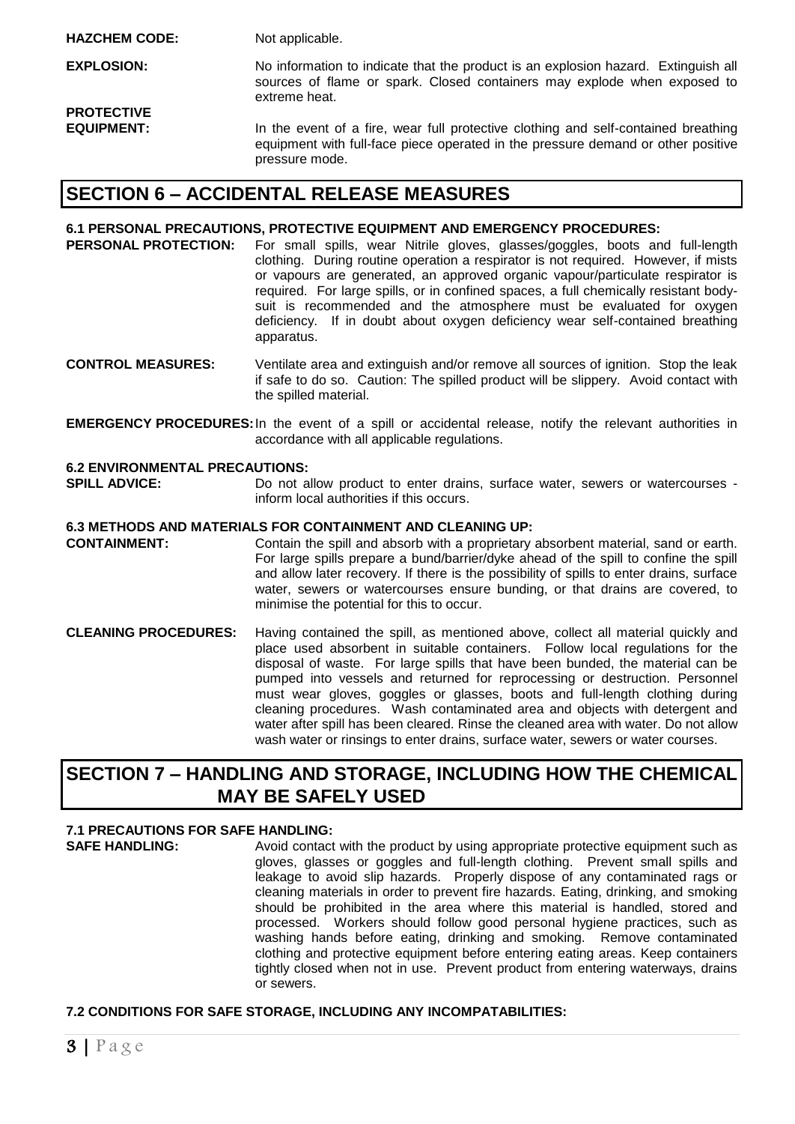**EXPLOSION:** No information to indicate that the product is an explosion hazard. Extinguish all sources of flame or spark. Closed containers may explode when exposed to extreme heat. **PROTECTIVE** 

**EQUIPMENT:** In the event of a fire, wear full protective clothing and self-contained breathing equipment with full-face piece operated in the pressure demand or other positive pressure mode.

### **SECTION 6 – ACCIDENTAL RELEASE MEASURES**

#### **6.1 PERSONAL PRECAUTIONS, PROTECTIVE EQUIPMENT AND EMERGENCY PROCEDURES:**

- **PERSONAL PROTECTION:** For small spills, wear Nitrile gloves, glasses/goggles, boots and full-length clothing. During routine operation a respirator is not required. However, if mists or vapours are generated, an approved organic vapour/particulate respirator is required. For large spills, or in confined spaces, a full chemically resistant bodysuit is recommended and the atmosphere must be evaluated for oxygen deficiency. If in doubt about oxygen deficiency wear self-contained breathing apparatus.
- **CONTROL MEASURES:** Ventilate area and extinguish and/or remove all sources of ignition. Stop the leak if safe to do so. Caution: The spilled product will be slippery. Avoid contact with the spilled material.
- **EMERGENCY PROCEDURES:**In the event of a spill or accidental release, notify the relevant authorities in accordance with all applicable regulations.

#### **6.2 ENVIRONMENTAL PRECAUTIONS:**

**SPILL ADVICE:** Do not allow product to enter drains, surface water, sewers or watercourses inform local authorities if this occurs.

#### **6.3 METHODS AND MATERIALS FOR CONTAINMENT AND CLEANING UP:**

**CONTAINMENT:** Contain the spill and absorb with a proprietary absorbent material, sand or earth. For large spills prepare a bund/barrier/dyke ahead of the spill to confine the spill and allow later recovery. If there is the possibility of spills to enter drains, surface water, sewers or watercourses ensure bunding, or that drains are covered, to minimise the potential for this to occur.

**CLEANING PROCEDURES:** Having contained the spill, as mentioned above, collect all material quickly and place used absorbent in suitable containers. Follow local regulations for the disposal of waste. For large spills that have been bunded, the material can be pumped into vessels and returned for reprocessing or destruction. Personnel must wear gloves, goggles or glasses, boots and full-length clothing during cleaning procedures. Wash contaminated area and objects with detergent and water after spill has been cleared. Rinse the cleaned area with water. Do not allow wash water or rinsings to enter drains, surface water, sewers or water courses.

### **SECTION 7 – HANDLING AND STORAGE, INCLUDING HOW THE CHEMICAL MAY BE SAFELY USED**

#### **7.1 PRECAUTIONS FOR SAFE HANDLING:**

**SAFE HANDLING:** Avoid contact with the product by using appropriate protective equipment such as gloves, glasses or goggles and full-length clothing. Prevent small spills and leakage to avoid slip hazards. Properly dispose of any contaminated rags or cleaning materials in order to prevent fire hazards. Eating, drinking, and smoking should be prohibited in the area where this material is handled, stored and processed. Workers should follow good personal hygiene practices, such as washing hands before eating, drinking and smoking. Remove contaminated clothing and protective equipment before entering eating areas. Keep containers tightly closed when not in use. Prevent product from entering waterways, drains or sewers.

#### **7.2 CONDITIONS FOR SAFE STORAGE, INCLUDING ANY INCOMPATABILITIES:**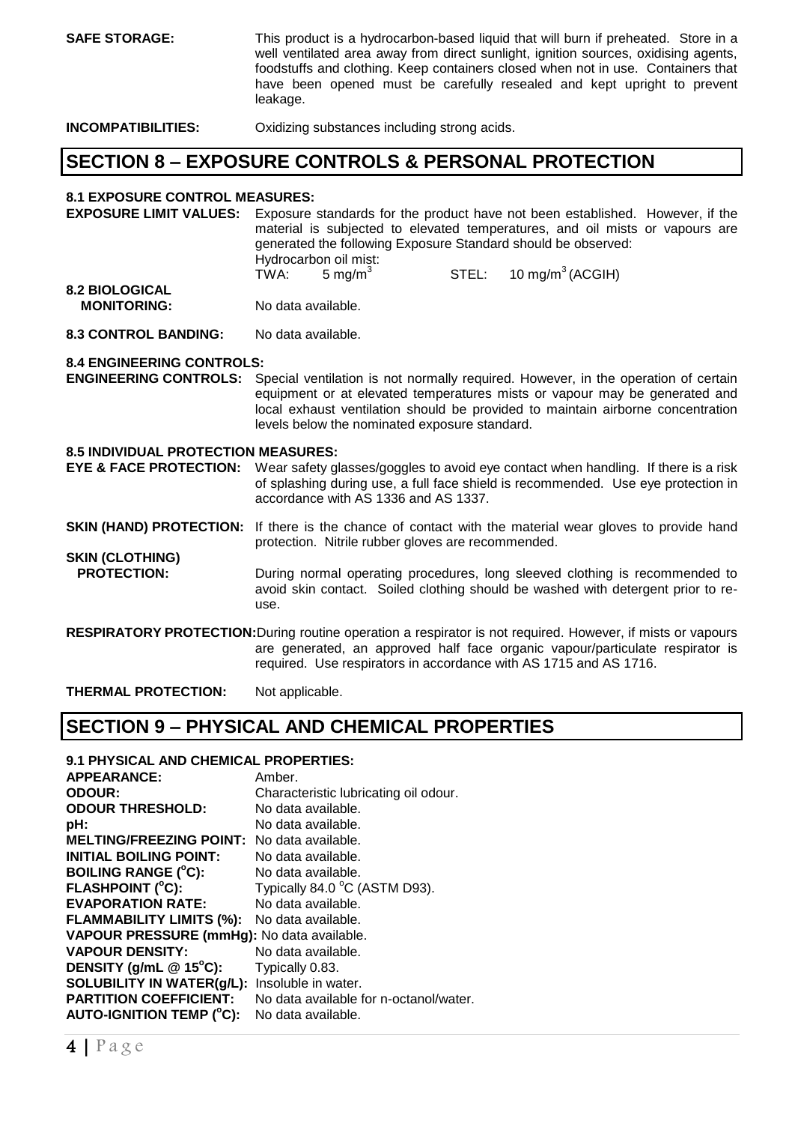| <b>SAFE STORAGE:</b> | This product is a hydrocarbon-based liquid that will burn if preheated. Store in a  |
|----------------------|-------------------------------------------------------------------------------------|
|                      | well ventilated area away from direct sunlight, ignition sources, oxidising agents, |
|                      | foodstuffs and clothing. Keep containers closed when not in use. Containers that    |
|                      | have been opened must be carefully resealed and kept upright to prevent             |
|                      | leakage.                                                                            |
| 11100011017101117170 |                                                                                     |

**INCOMPATIBILITIES:** Oxidizing substances including strong acids.

### **SECTION 8 – EXPOSURE CONTROLS & PERSONAL PROTECTION**

#### **8.1 EXPOSURE CONTROL MEASURES:**

**EXPOSURE LIMIT VALUES:** Exposure standards for the product have not been established. However, if the material is subjected to elevated temperatures, and oil mists or vapours are generated the following Exposure Standard should be observed: Hydrocarbon oil mist:  $TWA: 5 mg/m<sup>3</sup>$  $STEL: 10 mg/m<sup>3</sup> (ACGIH)$ **8.2 BIOLOGICAL** 

- **MONITORING:** No data available.
- **8.3 CONTROL BANDING:** No data available.

#### **8.4 ENGINEERING CONTROLS:**

**ENGINEERING CONTROLS:** Special ventilation is not normally required. However, in the operation of certain equipment or at elevated temperatures mists or vapour may be generated and local exhaust ventilation should be provided to maintain airborne concentration levels below the nominated exposure standard.

#### **8.5 INDIVIDUAL PROTECTION MEASURES:**

**EYE & FACE PROTECTION:** Wear safety glasses/goggles to avoid eye contact when handling. If there is a risk of splashing during use, a full face shield is recommended. Use eye protection in accordance with AS 1336 and AS 1337.

**SKIN (HAND) PROTECTION:** If there is the chance of contact with the material wear gloves to provide hand protection. Nitrile rubber gloves are recommended.

**SKIN (CLOTHING) PROTECTION:** During normal operating procedures, long sleeved clothing is recommended to avoid skin contact. Soiled clothing should be washed with detergent prior to reuse.

**RESPIRATORY PROTECTION:**During routine operation a respirator is not required. However, if mists or vapours are generated, an approved half face organic vapour/particulate respirator is required. Use respirators in accordance with AS 1715 and AS 1716.

**THERMAL PROTECTION:** Not applicable.

### **SECTION 9 – PHYSICAL AND CHEMICAL PROPERTIES**

#### **9.1 PHYSICAL AND CHEMICAL PROPERTIES:**

| <b>APPEARANCE:</b>                         | Amber.                                 |
|--------------------------------------------|----------------------------------------|
| <b>ODOUR:</b>                              | Characteristic lubricating oil odour.  |
| <b>ODOUR THRESHOLD:</b>                    | No data available.                     |
| pH:                                        | No data available.                     |
| <b>MELTING/FREEZING POINT:</b>             | No data available.                     |
| <b>INITIAL BOILING POINT:</b>              | No data available.                     |
| <b>BOILING RANGE (°C):</b>                 | No data available.                     |
| <b>FLASHPOINT (°C):</b>                    | Typically 84.0 °C (ASTM D93).          |
| <b>EVAPORATION RATE:</b>                   | No data available.                     |
| <b>FLAMMABILITY LIMITS (%):</b>            | No data available.                     |
| VAPOUR PRESSURE (mmHg): No data available. |                                        |
| <b>VAPOUR DENSITY:</b>                     | No data available.                     |
| DENSITY (g/mL $@$ 15°C):                   | Typically 0.83.                        |
| SOLUBILITY IN WATER(g/L):                  | Insoluble in water.                    |
| <b>PARTITION COEFFICIENT:</b>              | No data available for n-octanol/water. |
| AUTO-IGNITION TEMP (°C):                   | No data available.                     |
|                                            |                                        |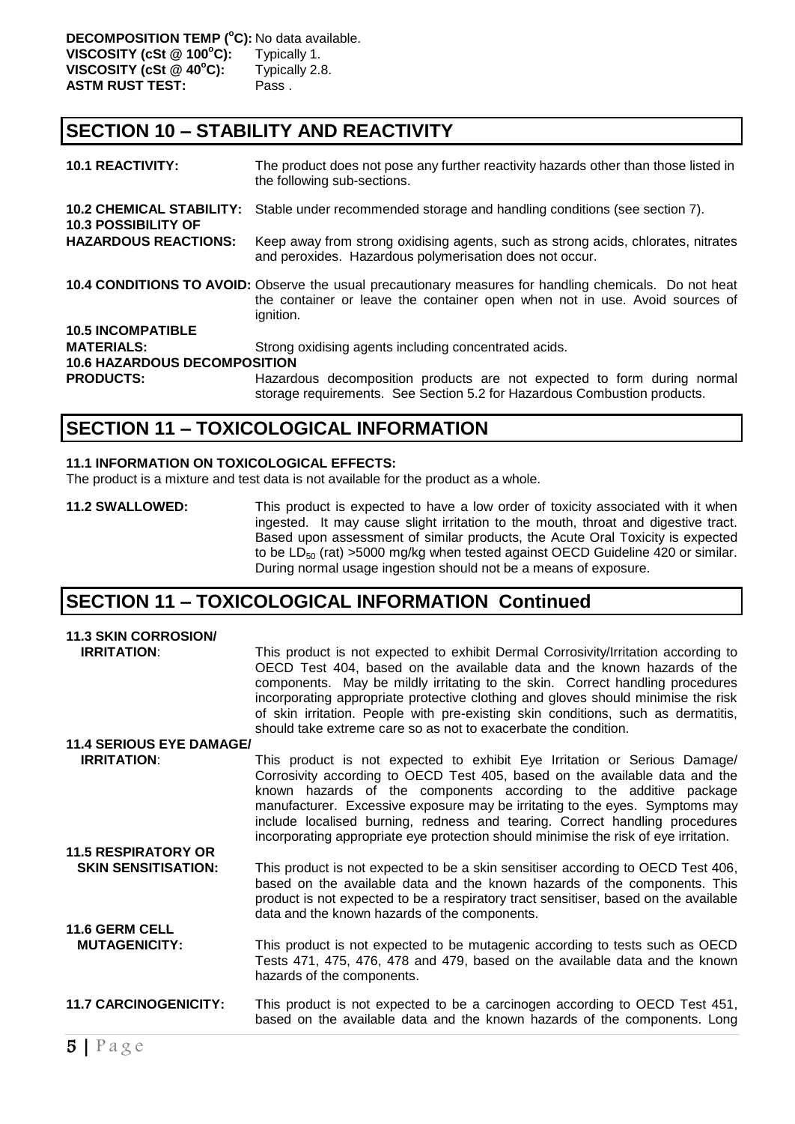### **SECTION 10 – STABILITY AND REACTIVITY**

| <b>10.1 REACTIVITY:</b>                                       | The product does not pose any further reactivity hazards other than those listed in<br>the following sub-sections.                                                                                 |  |  |  |
|---------------------------------------------------------------|----------------------------------------------------------------------------------------------------------------------------------------------------------------------------------------------------|--|--|--|
| <b>10.2 CHEMICAL STABILITY:</b><br><b>10.3 POSSIBILITY OF</b> | Stable under recommended storage and handling conditions (see section 7).                                                                                                                          |  |  |  |
| <b>HAZARDOUS REACTIONS:</b>                                   | Keep away from strong oxidising agents, such as strong acids, chlorates, nitrates<br>and peroxides. Hazardous polymerisation does not occur.                                                       |  |  |  |
|                                                               | 10.4 CONDITIONS TO AVOID: Observe the usual precautionary measures for handling chemicals. Do not heat<br>the container or leave the container open when not in use. Avoid sources of<br>ignition. |  |  |  |
| <b>10.5 INCOMPATIBLE</b>                                      |                                                                                                                                                                                                    |  |  |  |
| <b>MATERIALS:</b>                                             | Strong oxidising agents including concentrated acids.                                                                                                                                              |  |  |  |
| <b>10.6 HAZARDOUS DECOMPOSITION</b>                           |                                                                                                                                                                                                    |  |  |  |
| <b>PRODUCTS:</b>                                              | Hazardous decomposition products are not expected to form during normal<br>storage requirements. See Section 5.2 for Hazardous Combustion products.                                                |  |  |  |

### **SECTION 11 – TOXICOLOGICAL INFORMATION**

#### **11.1 INFORMATION ON TOXICOLOGICAL EFFECTS:**

The product is a mixture and test data is not available for the product as a whole.

**11.2 SWALLOWED:** This product is expected to have a low order of toxicity associated with it when ingested. It may cause slight irritation to the mouth, throat and digestive tract. Based upon assessment of similar products, the Acute Oral Toxicity is expected to be  $LD_{50}$  (rat) >5000 mg/kg when tested against OECD Guideline 420 or similar. During normal usage ingestion should not be a means of exposure.

### **SECTION 11 – TOXICOLOGICAL INFORMATION Continued**

| <b>11.3 SKIN CORROSION/</b>                            |                                                                                                                                                                                                                                                                                                                                                                                                                                                                                             |
|--------------------------------------------------------|---------------------------------------------------------------------------------------------------------------------------------------------------------------------------------------------------------------------------------------------------------------------------------------------------------------------------------------------------------------------------------------------------------------------------------------------------------------------------------------------|
| <b>IRRITATION:</b>                                     | This product is not expected to exhibit Dermal Corrosivity/Irritation according to<br>OECD Test 404, based on the available data and the known hazards of the<br>components. May be mildly irritating to the skin. Correct handling procedures<br>incorporating appropriate protective clothing and gloves should minimise the risk<br>of skin irritation. People with pre-existing skin conditions, such as dermatitis,<br>should take extreme care so as not to exacerbate the condition. |
| <b>11.4 SERIOUS EYE DAMAGE/</b>                        |                                                                                                                                                                                                                                                                                                                                                                                                                                                                                             |
| <b>IRRITATION:</b>                                     | This product is not expected to exhibit Eye Irritation or Serious Damage/<br>Corrosivity according to OECD Test 405, based on the available data and the<br>known hazards of the components according to the additive package<br>manufacturer. Excessive exposure may be irritating to the eyes. Symptoms may<br>include localised burning, redness and tearing. Correct handling procedures<br>incorporating appropriate eye protection should minimise the risk of eye irritation.        |
| <b>11.5 RESPIRATORY OR</b>                             |                                                                                                                                                                                                                                                                                                                                                                                                                                                                                             |
| <b>SKIN SENSITISATION:</b>                             | This product is not expected to be a skin sensitiser according to OECD Test 406,<br>based on the available data and the known hazards of the components. This<br>product is not expected to be a respiratory tract sensitiser, based on the available<br>data and the known hazards of the components.                                                                                                                                                                                      |
| <b>11.6 GERM CELL</b>                                  |                                                                                                                                                                                                                                                                                                                                                                                                                                                                                             |
| <b>MUTAGENICITY:</b>                                   | This product is not expected to be mutagenic according to tests such as OECD<br>Tests 471, 475, 476, 478 and 479, based on the available data and the known<br>hazards of the components.                                                                                                                                                                                                                                                                                                   |
| <b>11.7 CARCINOGENICITY:</b>                           | This product is not expected to be a carcinogen according to OECD Test 451,<br>based on the available data and the known hazards of the components. Long                                                                                                                                                                                                                                                                                                                                    |
| $\mathbf{E}$   $\mathbf{P}$ $\alpha$ $\alpha$ $\alpha$ |                                                                                                                                                                                                                                                                                                                                                                                                                                                                                             |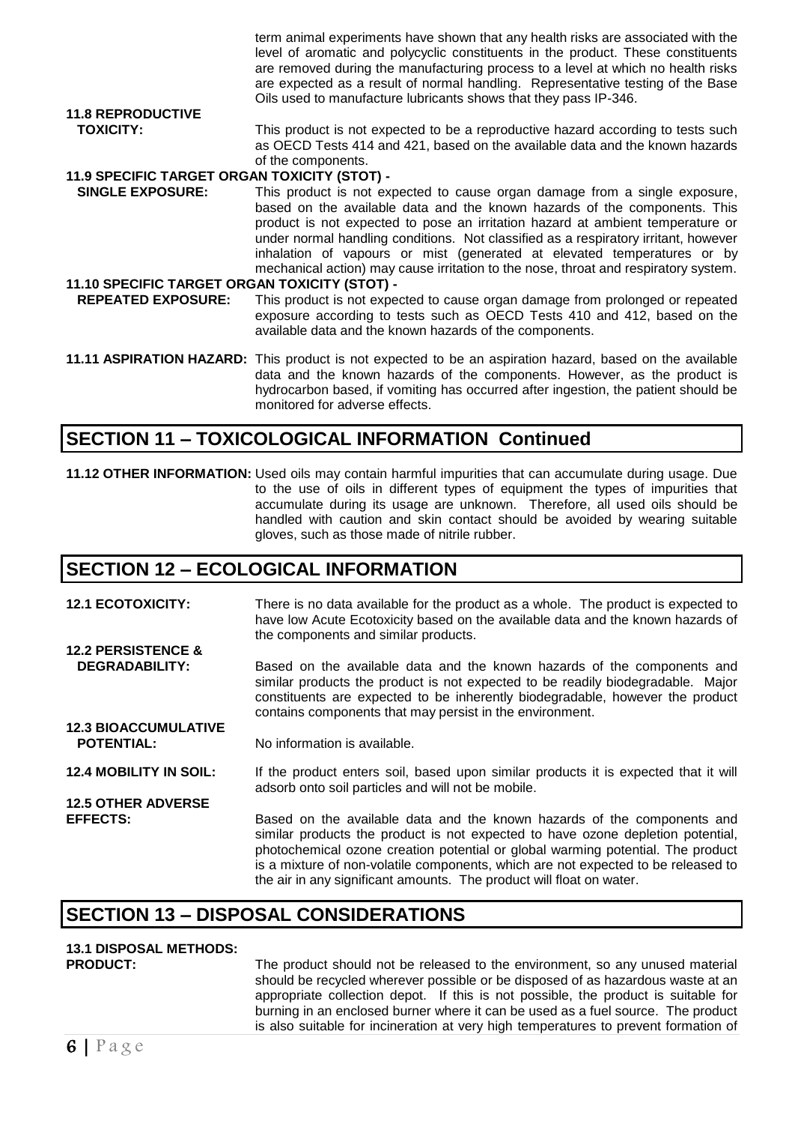|                                               | term animal experiments have shown that any health risks are associated with the<br>level of aromatic and polycyclic constituents in the product. These constituents<br>are removed during the manufacturing process to a level at which no health risks<br>are expected as a result of normal handling. Representative testing of the Base<br>Oils used to manufacture lubricants shows that they pass IP-346.                                                                                    |
|-----------------------------------------------|----------------------------------------------------------------------------------------------------------------------------------------------------------------------------------------------------------------------------------------------------------------------------------------------------------------------------------------------------------------------------------------------------------------------------------------------------------------------------------------------------|
| <b>11.8 REPRODUCTIVE</b>                      |                                                                                                                                                                                                                                                                                                                                                                                                                                                                                                    |
| <b>TOXICITY:</b>                              | This product is not expected to be a reproductive hazard according to tests such<br>as OECD Tests 414 and 421, based on the available data and the known hazards<br>of the components.                                                                                                                                                                                                                                                                                                             |
| 11.9 SPECIFIC TARGET ORGAN TOXICITY (STOT) -  |                                                                                                                                                                                                                                                                                                                                                                                                                                                                                                    |
|                                               |                                                                                                                                                                                                                                                                                                                                                                                                                                                                                                    |
| <b>SINGLE EXPOSURE:</b>                       | This product is not expected to cause organ damage from a single exposure,<br>based on the available data and the known hazards of the components. This<br>product is not expected to pose an irritation hazard at ambient temperature or<br>under normal handling conditions. Not classified as a respiratory irritant, however<br>inhalation of vapours or mist (generated at elevated temperatures or by<br>mechanical action) may cause irritation to the nose, throat and respiratory system. |
| 11.10 SPECIFIC TARGET ORGAN TOXICITY (STOT) - |                                                                                                                                                                                                                                                                                                                                                                                                                                                                                                    |
| <b>REPEATED EXPOSURE:</b>                     | This product is not expected to cause organ damage from prolonged or repeated<br>exposure according to tests such as OECD Tests 410 and 412, based on the<br>available data and the known hazards of the components.                                                                                                                                                                                                                                                                               |
|                                               | 11.11 ASPIRATION HAZARD: This product is not expected to be an aspiration hazard, based on the available<br>data and the known hazards of the components. However, as the product is<br>hydrocarbon based, if vomiting has occurred after ingestion, the patient should be<br>monitored for adverse effects.                                                                                                                                                                                       |

### **SECTION 11 – TOXICOLOGICAL INFORMATION Continued**

**11.12 OTHER INFORMATION:** Used oils may contain harmful impurities that can accumulate during usage. Due to the use of oils in different types of equipment the types of impurities that accumulate during its usage are unknown. Therefore, all used oils should be handled with caution and skin contact should be avoided by wearing suitable gloves, such as those made of nitrile rubber.

### **SECTION 12 – ECOLOGICAL INFORMATION**

**12.1 ECOTOXICITY:** There is no data available for the product as a whole. The product is expected to have low Acute Ecotoxicity based on the available data and the known hazards of the components and similar products. **12.2 PERSISTENCE &** 

- **DEGRADABILITY:** Based on the available data and the known hazards of the components and similar products the product is not expected to be readily biodegradable. Major constituents are expected to be inherently biodegradable, however the product contains components that may persist in the environment.
- **POTENTIAL:** No information is available.

**12.4 MOBILITY IN SOIL:** If the product enters soil, based upon similar products it is expected that it will adsorb onto soil particles and will not be mobile. **12.5 OTHER ADVERSE** 

**EFFECTS:** Based on the available data and the known hazards of the components and similar products the product is not expected to have ozone depletion potential, photochemical ozone creation potential or global warming potential. The product is a mixture of non-volatile components, which are not expected to be released to the air in any significant amounts. The product will float on water.

### **SECTION 13 – DISPOSAL CONSIDERATIONS**

# **13.1 DISPOSAL METHODS:**

**12.3 BIOACCUMULATIVE** 

The product should not be released to the environment, so any unused material should be recycled wherever possible or be disposed of as hazardous waste at an appropriate collection depot. If this is not possible, the product is suitable for burning in an enclosed burner where it can be used as a fuel source. The product is also suitable for incineration at very high temperatures to prevent formation of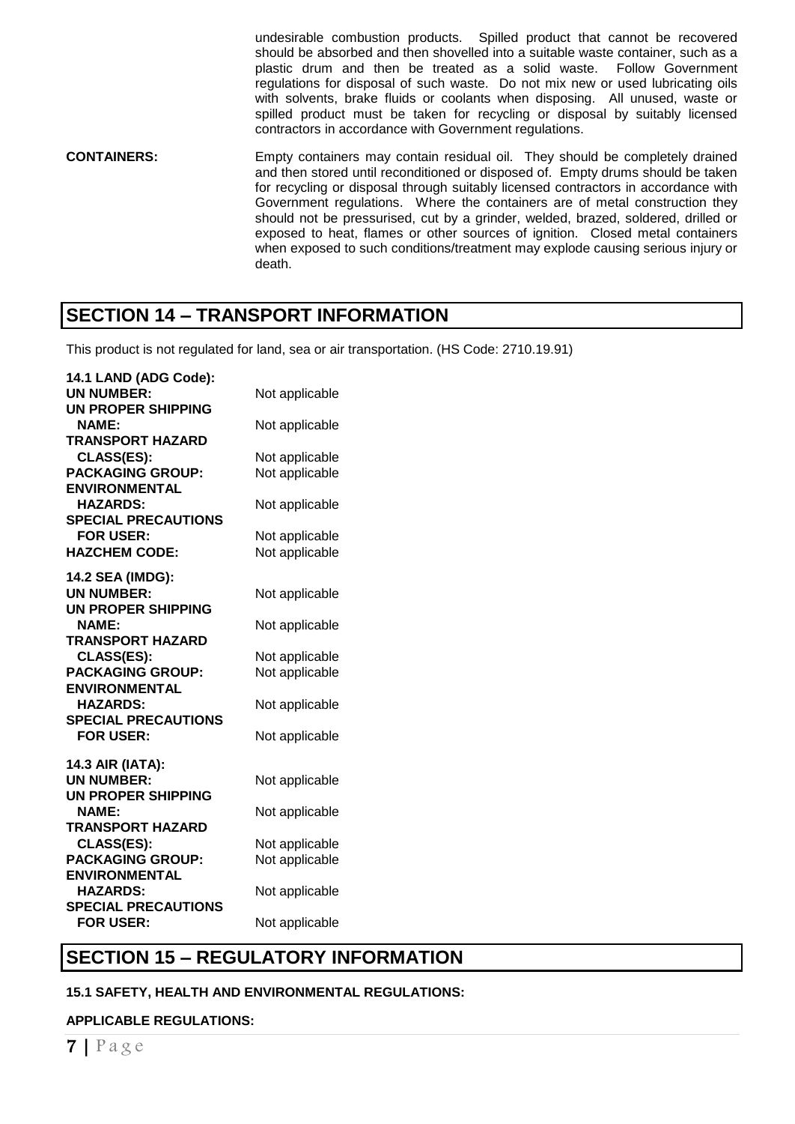undesirable combustion products. Spilled product that cannot be recovered should be absorbed and then shovelled into a suitable waste container, such as a plastic drum and then be treated as a solid waste. Follow Government regulations for disposal of such waste. Do not mix new or used lubricating oils with solvents, brake fluids or coolants when disposing. All unused, waste or spilled product must be taken for recycling or disposal by suitably licensed contractors in accordance with Government regulations.

**CONTAINERS:** Empty containers may contain residual oil. They should be completely drained and then stored until reconditioned or disposed of. Empty drums should be taken for recycling or disposal through suitably licensed contractors in accordance with Government regulations. Where the containers are of metal construction they should not be pressurised, cut by a grinder, welded, brazed, soldered, drilled or exposed to heat, flames or other sources of ignition. Closed metal containers when exposed to such conditions/treatment may explode causing serious injury or death.

### **SECTION 14 – TRANSPORT INFORMATION**

This product is not regulated for land, sea or air transportation. (HS Code: 2710.19.91)

| 14.1 LAND (ADG Code):<br><b>UN NUMBER:</b>   | Not applicable                   |
|----------------------------------------------|----------------------------------|
| UN PROPER SHIPPING                           |                                  |
| <b>NAME:</b>                                 | Not applicable                   |
| <b>TRANSPORT HAZARD</b><br><b>CLASS(ES):</b> |                                  |
| <b>PACKAGING GROUP:</b>                      | Not applicable<br>Not applicable |
| <b>ENVIRONMENTAL</b>                         |                                  |
| <b>HAZARDS:</b>                              | Not applicable                   |
| <b>SPECIAL PRECAUTIONS</b>                   |                                  |
| <b>FOR USER:</b>                             | Not applicable                   |
| <b>HAZCHEM CODE:</b>                         | Not applicable                   |
| 14.2 SEA (IMDG):                             |                                  |
| <b>UN NUMBER:</b>                            | Not applicable                   |
| <b>UN PROPER SHIPPING</b>                    |                                  |
| <b>NAME:</b>                                 | Not applicable                   |
| <b>TRANSPORT HAZARD</b><br><b>CLASS(ES):</b> | Not applicable                   |
| <b>PACKAGING GROUP:</b>                      | Not applicable                   |
| <b>ENVIRONMENTAL</b>                         |                                  |
| <b>HAZARDS:</b>                              | Not applicable                   |
| <b>SPECIAL PRECAUTIONS</b>                   |                                  |
| <b>FOR USER:</b>                             | Not applicable                   |
| 14.3 AIR (IATA):                             |                                  |
| <b>UN NUMBER:</b>                            | Not applicable                   |
| <b>UN PROPER SHIPPING</b>                    |                                  |
| <b>NAME:</b>                                 | Not applicable                   |
| <b>TRANSPORT HAZARD</b>                      |                                  |
| <b>CLASS(ES):</b><br><b>PACKAGING GROUP:</b> | Not applicable<br>Not applicable |
| <b>ENVIRONMENTAL</b>                         |                                  |
| <b>HAZARDS:</b>                              | Not applicable                   |
| <b>SPECIAL PRECAUTIONS</b>                   |                                  |
| <b>FOR USER:</b>                             | Not applicable                   |

### **SECTION 15 – REGULATORY INFORMATION**

#### **15.1 SAFETY, HEALTH AND ENVIRONMENTAL REGULATIONS:**

#### **APPLICABLE REGULATIONS:**